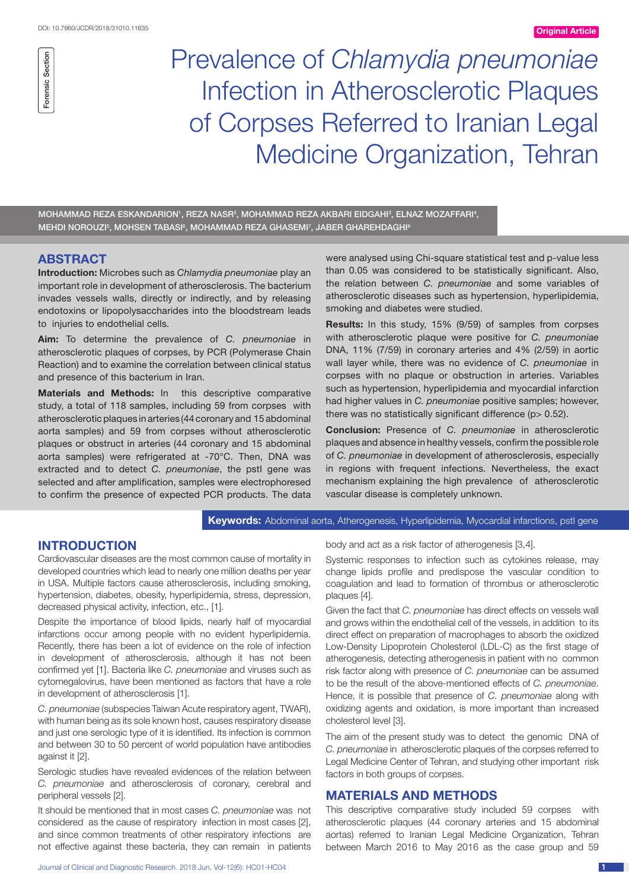

# Prevalence of *Chlamydia pneumoniae* Infection in Atherosclerotic Plaques of Corpses Referred to Iranian Legal Medicine Organization, Tehran

MOHAMMAD REZA ESKANDARION', REZA NASR<sup>2</sup>, MOHAMMAD REZA AKBARI EIDGAHI<sup>3</sup>, ELNAZ MOZAFFARI<del>'</del>, MEHDI NOROUZI<sup>5</sup>, MOHSEN TABASI<sup>6</sup>, MOHAMMAD REZA GHASEMI<sup>7</sup>, JABER GHAREHDAGHI<sup>8</sup>

# **ABSTRACT**

**Introduction:** Microbes such as *Chlamydia pneumoniae* play an important role in development of atherosclerosis. The bacterium invades vessels walls, directly or indirectly, and by releasing endotoxins or lipopolysaccharides into the bloodstream leads to injuries to endothelial cells.

**Aim:** To determine the prevalence of *C. pneumoniae* in atherosclerotic plaques of corpses, by PCR (Polymerase Chain Reaction) and to examine the correlation between clinical status and presence of this bacterium in Iran.

**Materials and Methods:** In this descriptive comparative study, a total of 118 samples, including 59 from corpses with atherosclerotic plaques in arteries (44 coronary and 15 abdominal aorta samples) and 59 from corpses without atherosclerotic plaques or obstruct in arteries (44 coronary and 15 abdominal aorta samples) were refrigerated at -70°C. Then, DNA was extracted and to detect *C. pneumoniae*, the pstI gene was selected and after amplification, samples were electrophoresed to confirm the presence of expected PCR products. The data

were analysed using Chi-square statistical test and p-value less than 0.05 was considered to be statistically significant. Also, the relation between *C. pneumoniae* and some variables of atherosclerotic diseases such as hypertension, hyperlipidemia, smoking and diabetes were studied.

**Results:** In this study, 15% (9/59) of samples from corpses with atherosclerotic plaque were positive for *C. pneumoniae* DNA, 11% (7/59) in coronary arteries and 4% (2/59) in aortic wall layer while, there was no evidence of *C. pneumoniae* in corpses with no plaque or obstruction in arteries. Variables such as hypertension, hyperlipidemia and myocardial infarction had higher values in *C. pneumoniae* positive samples; however, there was no statistically significant difference (p> 0.52).

**Conclusion:** Presence of *C. pneumoniae* in atherosclerotic plaques and absence in healthy vessels, confirm the possible role of *C. pneumoniae* in development of atherosclerosis, especially in regions with frequent infections. Nevertheless, the exact mechanism explaining the high prevalence of atherosclerotic vascular disease is completely unknown.

### **Keywords:** Abdominal aorta, Atherogenesis, Hyperlipidemia, Myocardial infarctions, pstI gene

## **INTRODUCTION**

Cardiovascular diseases are the most common cause of mortality in developed countries which lead to nearly one million deaths per year in USA. Multiple factors cause atherosclerosis, including smoking, hypertension, diabetes, obesity, hyperlipidemia, stress, depression, decreased physical activity, infection, etc., [1].

Despite the importance of blood lipids, nearly half of myocardial infarctions occur among people with no evident hyperlipidemia. Recently, there has been a lot of evidence on the role of infection in development of atherosclerosis, although it has not been confirmed yet [1]. Bacteria like *C. pneumoniae* and viruses such as cytomegalovirus, have been mentioned as factors that have a role in development of atherosclerosis [1].

*C. pneumoniae* (subspecies Taiwan Acute respiratory agent, TWAR), with human being as its sole known host, causes respiratory disease and just one serologic type of it is identified. Its infection is common and between 30 to 50 percent of world population have antibodies against it [2].

Serologic studies have revealed evidences of the relation between *C. pneumoniae* and atherosclerosis of coronary, cerebral and peripheral vessels [2].

It should be mentioned that in most cases *C. pneumoniae* was not considered as the cause of respiratory infection in most cases [2], and since common treatments of other respiratory infections are not effective against these bacteria, they can remain in patients

body and act as a risk factor of atherogenesis [3,4].

Systemic responses to infection such as cytokines release, may change lipids profile and predispose the vascular condition to coagulation and lead to formation of thrombus or atherosclerotic plaques [4].

Given the fact that *C. pneumoniae* has direct effects on vessels wall and grows within the endothelial cell of the vessels, in addition to its direct effect on preparation of macrophages to absorb the oxidized Low-Density Lipoprotein Cholesterol (LDL-C) as the first stage of atherogenesis, detecting atherogenesis in patient with no common risk factor along with presence of *C. pneumoniae* can be assumed to be the result of the above-mentioned effects of *C. pneumoniae*. Hence, it is possible that presence of *C. pneumoniae* along with oxidizing agents and oxidation, is more important than increased cholesterol level [3].

The aim of the present study was to detect the genomic DNA of *C. pneumoniae* in atherosclerotic plaques of the corpses referred to Legal Medicine Center of Tehran, and studying other important risk factors in both groups of corpses.

## **MATERIALS AND METHODS**

This descriptive comparative study included 59 corpses with atherosclerotic plaques (44 coronary arteries and 15 abdominal aortas) referred to Iranian Legal Medicine Organization, Tehran between March 2016 to May 2016 as the case group and 59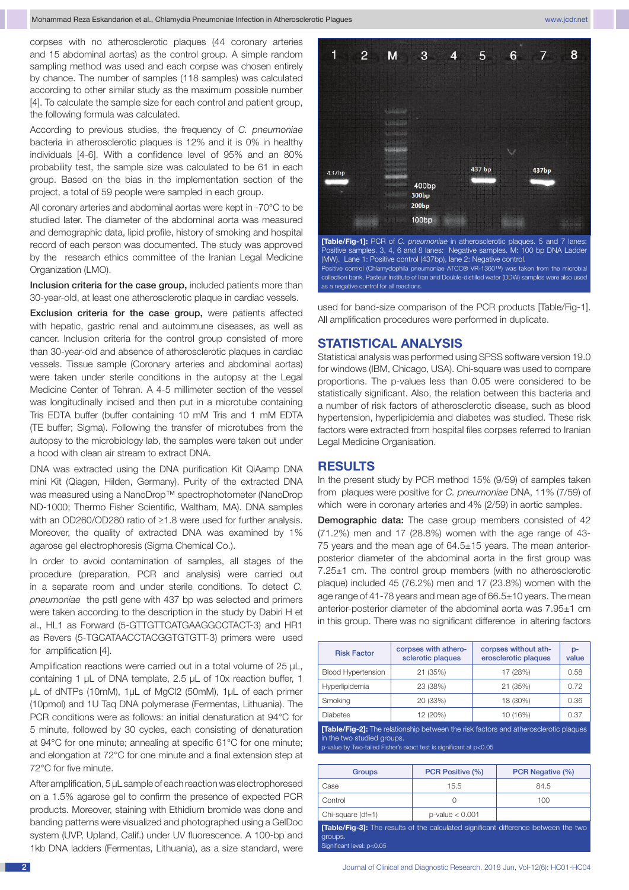corpses with no atherosclerotic plaques (44 coronary arteries and 15 abdominal aortas) as the control group. A simple random sampling method was used and each corpse was chosen entirely by chance. The number of samples (118 samples) was calculated according to other similar study as the maximum possible number [4]. To calculate the sample size for each control and patient group, the following formula was calculated.

According to previous studies, the frequency of *C. pneumoniae* bacteria in atherosclerotic plaques is 12% and it is 0% in healthy individuals [4-6]. With a confidence level of 95% and an 80% probability test, the sample size was calculated to be 61 in each group. Based on the bias in the implementation section of the project, a total of 59 people were sampled in each group.

All coronary arteries and abdominal aortas were kept in -70°C to be studied later. The diameter of the abdominal aorta was measured and demographic data, lipid profile, history of smoking and hospital record of each person was documented. The study was approved by the research ethics committee of the Iranian Legal Medicine Organization (LMO).

Inclusion criteria for the case group, included patients more than 30-year-old, at least one atherosclerotic plaque in cardiac vessels.

Exclusion criteria for the case group, were patients affected with hepatic, gastric renal and autoimmune diseases, as well as cancer. Inclusion criteria for the control group consisted of more than 30-year-old and absence of atherosclerotic plaques in cardiac vessels. Tissue sample (Coronary arteries and abdominal aortas) were taken under sterile conditions in the autopsy at the Legal Medicine Center of Tehran. A 4-5 millimeter section of the vessel was longitudinally incised and then put in a microtube containing Tris EDTA buffer (buffer containing 10 mM Tris and 1 mM EDTA (TE buffer; Sigma). Following the transfer of microtubes from the autopsy to the microbiology lab, the samples were taken out under a hood with clean air stream to extract DNA.

DNA was extracted using the DNA purification Kit QiAamp DNA mini Kit (Qiagen, Hilden, Germany). Purity of the extracted DNA was measured using a NanoDrop™ spectrophotometer (NanoDrop ND-1000; Thermo Fisher Scientific, Waltham, MA). DNA samples with an OD260/OD280 ratio of ≥1.8 were used for further analysis. Moreover, the quality of extracted DNA was examined by 1% agarose gel electrophoresis (Sigma Chemical Co.).

In order to avoid contamination of samples, all stages of the procedure (preparation, PCR and analysis) were carried out in a separate room and under sterile conditions. To detect *C. pneumoniae* the pstI gene with 437 bp was selected and primers were taken according to the description in the study by Dabiri H et al., HL1 as Forward (5-GTTGTTCATGAAGGCCTACT-3) and HR1 as Revers (5-TGCATAACCTACGGTGTGTT-3) primers were used for amplification [4].

Amplification reactions were carried out in a total volume of 25 μL, containing 1 μL of DNA template, 2.5 μL of 10x reaction buffer, 1 μL of dNTPs (10mM), 1μL of MgCl2 (50mM), 1μL of each primer (10pmol) and 1U Taq DNA polymerase (Fermentas, Lithuania). The PCR conditions were as follows: an initial denaturation at 94°C for 5 minute, followed by 30 cycles, each consisting of denaturation at 94°C for one minute; annealing at specific 61°C for one minute; and elongation at 72°C for one minute and a final extension step at 72°C for five minute.

After amplification, 5 μL sample of each reaction was electrophoresed on a 1.5% agarose gel to confirm the presence of expected PCR products. Moreover, staining with Ethidium bromide was done and banding patterns were visualized and photographed using a GelDoc system (UVP, Upland, Calif.) under UV fluorescence. A 100-bp and 1kb DNA ladders (Fermentas, Lithuania), as a size standard, were



used for band-size comparison of the PCR products [Table/Fig-1]. All amplification procedures were performed in duplicate.

#### **STATISTICAL ANALYSIS**

Statistical analysis was performed using SPSS software version 19.0 for windows (IBM, Chicago, USA). Chi-square was used to compare proportions. The p-values less than 0.05 were considered to be statistically significant. Also, the relation between this bacteria and a number of risk factors of atherosclerotic disease, such as blood hypertension, hyperlipidemia and diabetes was studied. These risk factors were extracted from hospital files corpses referred to Iranian Legal Medicine Organisation.

#### **RESULTS**

In the present study by PCR method 15% (9/59) of samples taken from plaques were positive for *C. pneumoniae* DNA, 11% (7/59) of which were in coronary arteries and 4% (2/59) in aortic samples.

Demographic data: The case group members consisted of 42 (71.2%) men and 17 (28.8%) women with the age range of 43- 75 years and the mean age of 64.5±15 years. The mean anteriorposterior diameter of the abdominal aorta in the first group was 7.25±1 cm. The control group members (with no atherosclerotic plaque) included 45 (76.2%) men and 17 (23.8%) women with the age range of 41-78 years and mean age of 66.5±10 years. The mean anterior-posterior diameter of the abdominal aorta was 7.95±1 cm in this group. There was no significant difference in altering factors

| <b>Risk Factor</b>        | corpses with athero-<br>sclerotic plaques | corpses without ath-<br>erosclerotic plaques | $p-$<br>value |
|---------------------------|-------------------------------------------|----------------------------------------------|---------------|
| <b>Blood Hypertension</b> | 21 (35%)                                  | 17 (28%)                                     | 0.58          |
| Hyperlipidemia            | 23 (38%)                                  | 21 (35%)                                     | 0.72          |
| Smoking                   | 20 (33%)                                  | 18 (30%)                                     | 0.36          |
| <b>Diabetes</b>           | 12 (20%)                                  | 10 (16%)                                     | 0.37          |

**[Table/Fig-2]:** The relationship between the risk factors and atheros in the two studied groups.

p-value by Two-tailed Fisher's exact test is significant at p<0.05

| Groups                                                                                                                             | PCR Positive (%)     | PCR Negative (%) |  |  |
|------------------------------------------------------------------------------------------------------------------------------------|----------------------|------------------|--|--|
| Case                                                                                                                               | 15.5                 | 84.5             |  |  |
| Control                                                                                                                            | $\left( \right)$     | 100              |  |  |
| Chi-square (df=1)                                                                                                                  | $p$ -value $< 0.001$ |                  |  |  |
| <b>[Table/Fig-3]:</b> The results of the calculated significant difference between the two<br>groups.<br>Significant level: p<0.05 |                      |                  |  |  |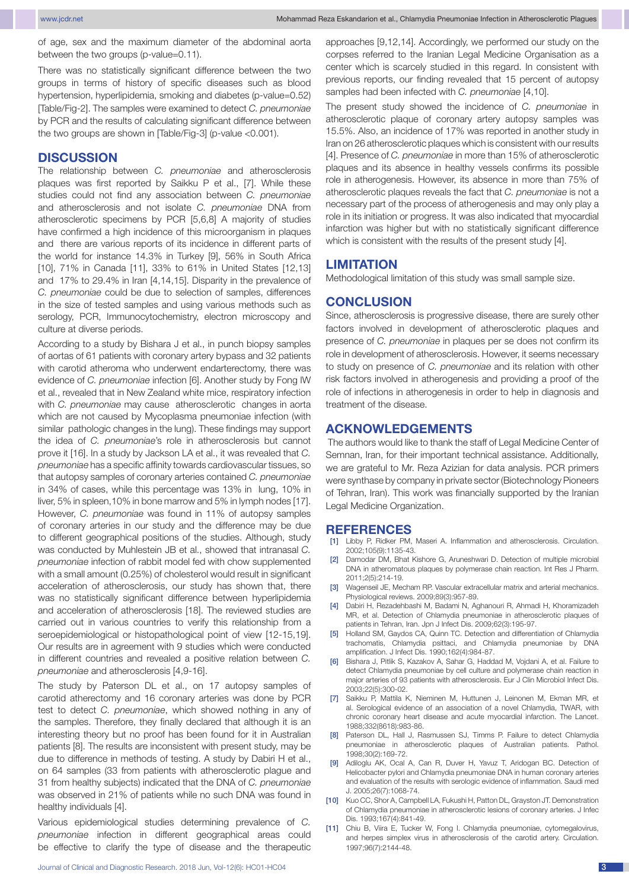of age, sex and the maximum diameter of the abdominal aorta between the two groups (p-value=0.11).

There was no statistically significant difference between the two groups in terms of history of specific diseases such as blood hypertension, hyperlipidemia, smoking and diabetes (p-value=0.52) [Table/Fig-2]. The samples were examined to detect *C. pneumoniae* by PCR and the results of calculating significant difference between the two groups are shown in [Table/Fig-3] (p-value <0.001).

#### **DISCUSSION**

The relationship between *C. pneumoniae* and atherosclerosis plaques was first reported by Saikku P et al., [7]. While these studies could not find any association between *C. pneumoniae* and atherosclerosis and not isolate *C. pneumoniae* DNA from atherosclerotic specimens by PCR [5,6,8] A majority of studies have confirmed a high incidence of this microorganism in plaques and there are various reports of its incidence in different parts of the world for instance 14.3% in Turkey [9], 56% in South Africa [10], 71% in Canada [11], 33% to 61% in United States [12,13] and 17% to 29.4% in Iran [4,14,15]. Disparity in the prevalence of *C. pneumoniae* could be due to selection of samples, differences in the size of tested samples and using various methods such as serology, PCR, Immunocytochemistry, electron microscopy and culture at diverse periods.

According to a study by Bishara J et al., in punch biopsy samples of aortas of 61 patients with coronary artery bypass and 32 patients with carotid atheroma who underwent endarterectomy, there was evidence of *C. pneumoniae* infection [6]. Another study by Fong IW et al., revealed that in New Zealand white mice, respiratory infection with *C. pneumoniae* may cause atherosclerotic changes in aorta which are not caused by Mycoplasma pneumoniae infection (with similar pathologic changes in the lung). These findings may support the idea of *C. pneumoniae*'s role in atherosclerosis but cannot prove it [16]. In a study by Jackson LA et al., it was revealed that *C. pneumoniae* has a specific affinity towards cardiovascular tissues, so that autopsy samples of coronary arteries contained *C. pneumoniae* in 34% of cases, while this percentage was 13% in lung, 10% in liver, 5% in spleen,10% in bone marrow and 5% in lymph nodes [17]. However, *C. pneumoniae* was found in 11% of autopsy samples of coronary arteries in our study and the difference may be due to different geographical positions of the studies. Although, study was conducted by Muhlestein JB et al., showed that intranasal *C. pneumoniae* infection of rabbit model fed with chow supplemented with a small amount (0.25%) of cholesterol would result in significant acceleration of atherosclerosis, our study has shown that, there was no statistically significant difference between hyperlipidemia and acceleration of atherosclerosis [18]. The reviewed studies are carried out in various countries to verify this relationship from a seroepidemiological or histopathological point of view [12-15,19]. Our results are in agreement with 9 studies which were conducted in different countries and revealed a positive relation between *C. pneumoniae* and atherosclerosis [4,9-16].

The study by Paterson DL et al., on 17 autopsy samples of carotid atherectomy and 16 coronary arteries was done by PCR test to detect *C. pneumoniae*, which showed nothing in any of the samples. Therefore, they finally declared that although it is an interesting theory but no proof has been found for it in Australian patients [8]. The results are inconsistent with present study, may be due to difference in methods of testing. A study by Dabiri H et al., on 64 samples (33 from patients with atherosclerotic plague and 31 from healthy subjects) indicated that the DNA of *C. pneumoniae* was observed in 21% of patients while no such DNA was found in healthy individuals [4].

Various epidemiological studies determining prevalence of *C. pneumoniae* infection in different geographical areas could be effective to clarify the type of disease and the therapeutic approaches [9,12,14]. Accordingly, we performed our study on the corpses referred to the Iranian Legal Medicine Organisation as a center which is scarcely studied in this regard. In consistent with previous reports, our finding revealed that 15 percent of autopsy samples had been infected with *C. pneumoniae* [4,10].

The present study showed the incidence of *C. pneumoniae* in atherosclerotic plaque of coronary artery autopsy samples was 15.5%. Also, an incidence of 17% was reported in another study in Iran on 26 atherosclerotic plaques which is consistent with our results [4]. Presence of *C. pneumoniae* in more than 15% of atherosclerotic plaques and its absence in healthy vessels confirms its possible role in atherogenesis. However, its absence in more than 75% of atherosclerotic plaques reveals the fact that *C. pneumoniae* is not a necessary part of the process of atherogenesis and may only play a role in its initiation or progress. It was also indicated that myocardial infarction was higher but with no statistically significant difference which is consistent with the results of the present study [4].

#### **LIMITATION**

Methodological limitation of this study was small sample size.

#### **CONCLUSION**

Since, atherosclerosis is progressive disease, there are surely other factors involved in development of atherosclerotic plaques and presence of *C. pneumoniae* in plaques per se does not confirm its role in development of atherosclerosis. However, it seems necessary to study on presence of *C. pneumoniae* and its relation with other risk factors involved in atherogenesis and providing a proof of the role of infections in atherogenesis in order to help in diagnosis and treatment of the disease.

### **Acknowledgements**

 The authors would like to thank the staff of Legal Medicine Center of Semnan, Iran, for their important technical assistance. Additionally, we are grateful to Mr. Reza Azizian for data analysis. PCR primers were synthase by company in private sector (Biotechnology Pioneers of Tehran, Iran). This work was financially supported by the Iranian Legal Medicine Organization.

#### **REFERENCES**

- [1] Libby P, Ridker PM, Maseri A, Inflammation and atherosclerosis. Circulation. 2002;105(9):1135-43.
- [2] Damodar DM, Bhat Kishore G, Aruneshwari D. Detection of multiple microbial DNA in atheromatous plaques by polymerase chain reaction. Int Res J Pharm. 2011;2(5):214-19.
- [3] Wagenseil JE, Mecham RP. Vascular extracellular matrix and arterial mechanics. Physiological reviews. 2009;89(3):957-89.
- [4] Dabiri H, Rezadehbashi M, Badami N, Aghanouri R, Ahmadi H, Khoramizadeh MR, et al. Detection of Chlamydia pneumoniae in atherosclerotic plaques of patients in Tehran, Iran. Jpn J Infect Dis. 2009;62(3):195-97.
- [5] Holland SM, Gaydos CA, Quinn TC. Detection and differentiation of Chlamydia trachomatis, Chlamydia psittaci, and Chlamydia pneumoniae by DNA amplification. J Infect Dis. 1990;162(4):984-87.
- [6] Bishara J, Pitlik S, Kazakov A, Sahar G, Haddad M, Vojdani A, et al. Failure to detect Chlamydia pneumoniae by cell culture and polymerase chain reaction in major arteries of 93 patients with atherosclerosis. Eur J Clin Microbiol Infect Dis. 2003;22(5):300-02.
- [7] Saikku P, Mattila K, Nieminen M, Huttunen J, Leinonen M, Ekman MR, et al. Serological evidence of an association of a novel Chlamydia, TWAR, with chronic coronary heart disease and acute myocardial infarction. The Lancet. 1988;332(8618):983-86.
- Paterson DL, Hall J, Rasmussen SJ, Timms P. Failure to detect Chlamydia pneumoniae in atherosclerotic plaques of Australian patients. Pathol. 1998;30(2):169-72.
- [9] Adiloglu AK, Ocal A, Can R, Duver H, Yavuz T, Aridogan BC. Detection of Helicobacter pylori and Chlamydia pneumoniae DNA in human coronary arteries and evaluation of the results with serologic evidence of inflammation. Saudi med J. 2005;26(7):1068-74.
- [10] Kuo CC, Shor A, Campbell LA, Fukushi H, Patton DL, Grayston JT. Demonstration of Chlamydia pneumoniae in atherosclerotic lesions of coronary arteries. J Infec Dis. 1993;167(4):841-49.
- [11] Chiu B, Viira E, Tucker W, Fong I. Chlamydia pneumoniae, cytomegalovirus, and herpes simplex virus in atherosclerosis of the carotid artery. Circulation. 1997;96(7):2144-48.